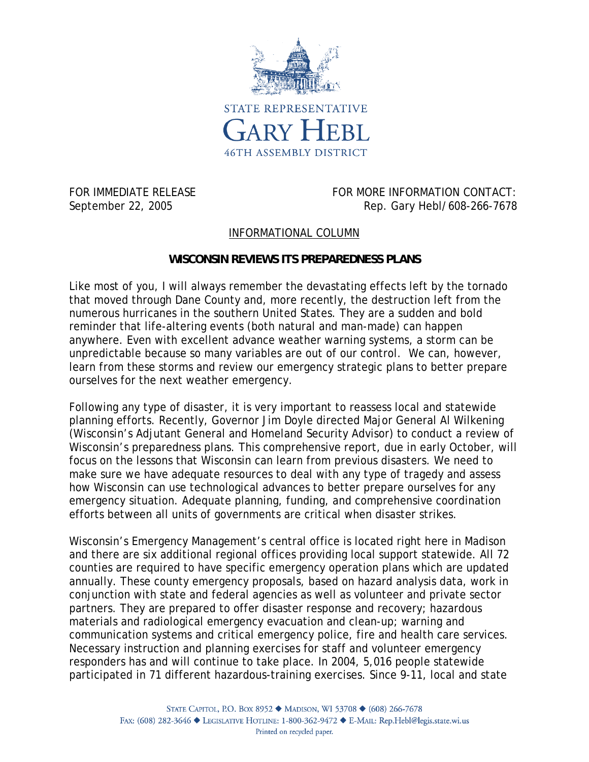

FOR IMMEDIATE RELEASE **FOR MORE INFORMATION CONTACT:** September 22, 2005 **Rep. 68 and Rep. Gary Hebl/608-266-7678** 

## INFORMATIONAL COLUMN

## **WISCONSIN REVIEWS ITS PREPAREDNESS PLANS**

Like most of you, I will always remember the devastating effects left by the tornado that moved through Dane County and, more recently, the destruction left from the numerous hurricanes in the southern United States. They are a sudden and bold reminder that life-altering events (both natural and man-made) can happen anywhere. Even with excellent advance weather warning systems, a storm can be unpredictable because so many variables are out of our control. We can, however, learn from these storms and review our emergency strategic plans to better prepare ourselves for the next weather emergency.

Following any type of disaster, it is very important to reassess local and statewide planning efforts. Recently, Governor Jim Doyle directed Major General Al Wilkening (Wisconsin's Adjutant General and Homeland Security Advisor) to conduct a review of Wisconsin's preparedness plans. This comprehensive report, due in early October, will focus on the lessons that Wisconsin can learn from previous disasters. We need to make sure we have adequate resources to deal with any type of tragedy and assess how Wisconsin can use technological advances to better prepare ourselves for any emergency situation. Adequate planning, funding, and comprehensive coordination efforts between all units of governments are critical when disaster strikes.

Wisconsin's Emergency Management's central office is located right here in Madison and there are six additional regional offices providing local support statewide. All 72 counties are required to have specific emergency operation plans which are updated annually. These county emergency proposals, based on hazard analysis data, work in conjunction with state and federal agencies as well as volunteer and private sector partners. They are prepared to offer disaster response and recovery; hazardous materials and radiological emergency evacuation and clean-up; warning and communication systems and critical emergency police, fire and health care services. Necessary instruction and planning exercises for staff and volunteer emergency responders has and will continue to take place. In 2004, 5,016 people statewide participated in 71 different hazardous-training exercises. Since 9-11, local and state